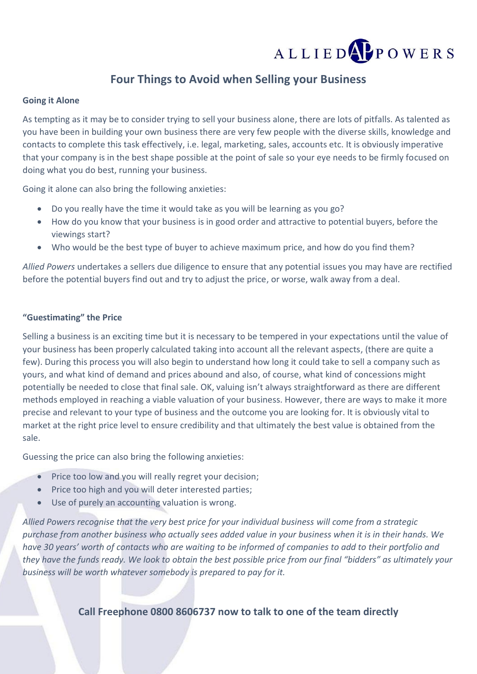# ALLIED**APPOWERS**

## **Four Things to Avoid when Selling your Business**

### **Going it Alone**

As tempting as it may be to consider trying to sell your business alone, there are lots of pitfalls. As talented as you have been in building your own business there are very few people with the diverse skills, knowledge and contacts to complete this task effectively, i.e. legal, marketing, sales, accounts etc. It is obviously imperative that your company is in the best shape possible at the point of sale so your eye needs to be firmly focused on doing what you do best, running your business.

Going it alone can also bring the following anxieties:

- Do you really have the time it would take as you will be learning as you go?
- How do you know that your business is in good order and attractive to potential buyers, before the viewings start?
- Who would be the best type of buyer to achieve maximum price, and how do you find them?

*Allied Powers* undertakes a sellers due diligence to ensure that any potential issues you may have are rectified before the potential buyers find out and try to adjust the price, or worse, walk away from a deal.

### **"Guestimating" the Price**

Selling a business is an exciting time but it is necessary to be tempered in your expectations until the value of your business has been properly calculated taking into account all the relevant aspects, (there are quite a few). During this process you will also begin to understand how long it could take to sell a company such as yours, and what kind of demand and prices abound and also, of course, what kind of concessions might potentially be needed to close that final sale. OK, valuing isn't always straightforward as there are different methods employed in reaching a viable valuation of your business. However, there are ways to make it more precise and relevant to your type of business and the outcome you are looking for. It is obviously vital to market at the right price level to ensure credibility and that ultimately the best value is obtained from the sale.

Guessing the price can also bring the following anxieties:

- Price too low and you will really regret your decision;
- Price too high and you will deter interested parties;
- Use of purely an accounting valuation is wrong.

*Allied Powers recognise that the very best price for your individual business will come from a strategic purchase from another business who actually sees added value in your business when it is in their hands. We have 30 years' worth of contacts who are waiting to be informed of companies to add to their portfolio and they have the funds ready. We look to obtain the best possible price from our final "bidders" as ultimately your business will be worth whatever somebody is prepared to pay for it.*

**Call Freephone 0800 8606737 now to talk to one of the team directly**